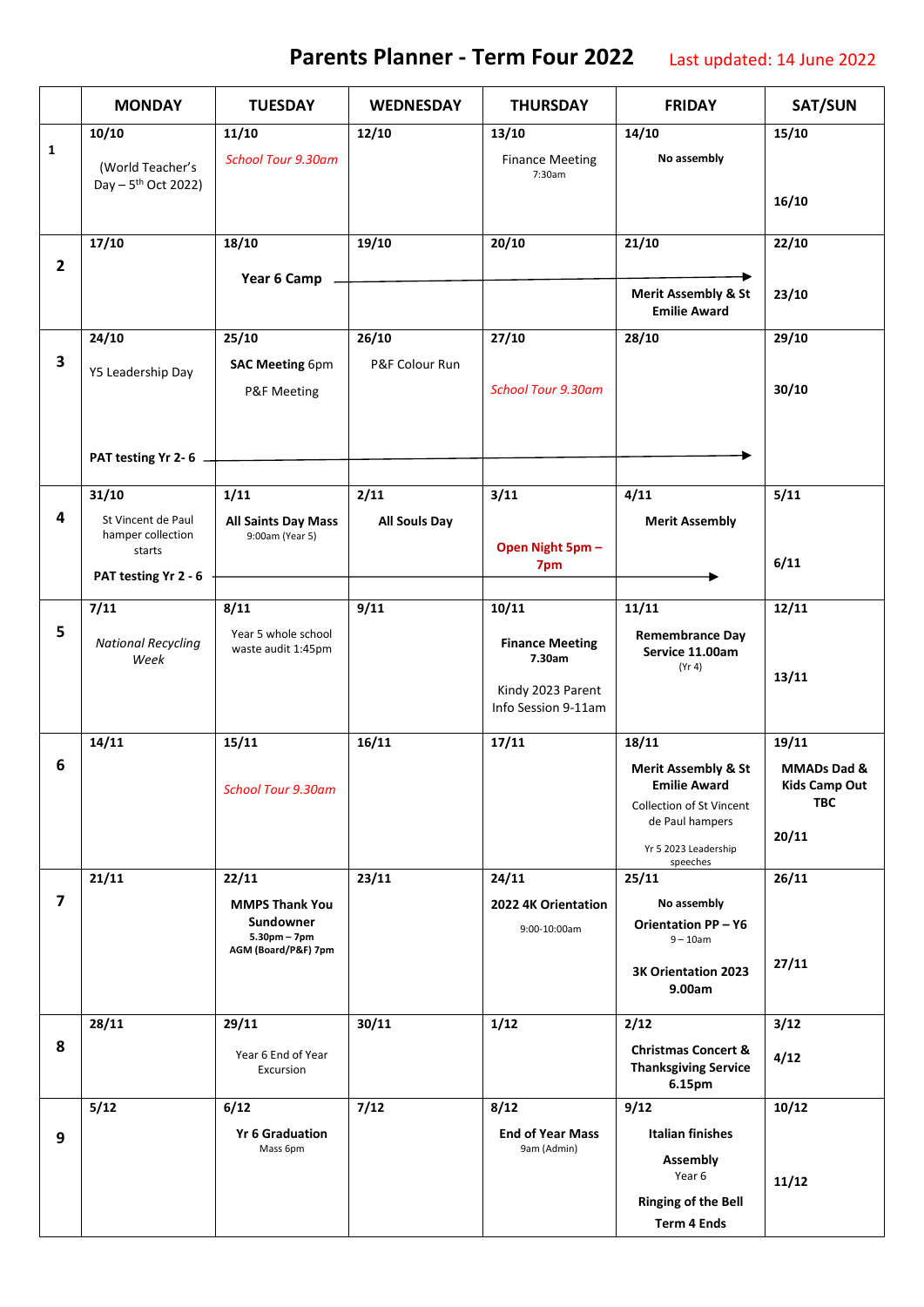## **Parents Planner - Term Four 2022** Last updated: 14 June 2022

|                         | <b>MONDAY</b>                                       | <b>TUESDAY</b>                                | <b>WEDNESDAY</b>     | <b>THURSDAY</b>                          | <b>FRIDAY</b>                                                           | SAT/SUN                            |
|-------------------------|-----------------------------------------------------|-----------------------------------------------|----------------------|------------------------------------------|-------------------------------------------------------------------------|------------------------------------|
|                         | 10/10                                               | 11/10                                         | 12/10                | 13/10                                    | 14/10                                                                   | 15/10                              |
| $\mathbf{1}$            | (World Teacher's<br>Day - 5 <sup>th</sup> Oct 2022) | <b>School Tour 9.30am</b>                     |                      | <b>Finance Meeting</b><br>7:30am         | No assembly                                                             |                                    |
|                         |                                                     |                                               |                      |                                          |                                                                         | 16/10                              |
|                         | 17/10                                               | 18/10                                         | 19/10                | 20/10                                    | 21/10                                                                   | 22/10                              |
| $\overline{2}$          |                                                     | Year 6 Camp -                                 |                      |                                          | ▸                                                                       |                                    |
|                         |                                                     |                                               |                      |                                          | <b>Merit Assembly &amp; St</b><br><b>Emilie Award</b>                   | 23/10                              |
|                         | 24/10                                               | 25/10                                         | 26/10                | 27/10                                    | 28/10                                                                   | 29/10                              |
| $\overline{\mathbf{3}}$ | Y5 Leadership Day                                   | <b>SAC Meeting 6pm</b>                        | P&F Colour Run       |                                          |                                                                         |                                    |
|                         |                                                     | P&F Meeting                                   |                      | <b>School Tour 9.30am</b>                |                                                                         | 30/10                              |
|                         | PAT testing Yr 2-6 -                                |                                               |                      |                                          |                                                                         |                                    |
|                         | 31/10                                               | 1/11                                          | 2/11                 | 3/11                                     | 4/11                                                                    | 5/11                               |
| 4                       | St Vincent de Paul<br>hamper collection             | <b>All Saints Day Mass</b><br>9:00am (Year 5) | <b>All Souls Day</b> | Open Night 5pm -                         | <b>Merit Assembly</b>                                                   |                                    |
|                         | starts                                              |                                               |                      | 7pm                                      |                                                                         | 6/11                               |
|                         | PAT testing Yr 2 - 6                                |                                               |                      |                                          |                                                                         |                                    |
|                         | 7/11                                                | 8/11                                          | 9/11                 | 10/11                                    | 11/11                                                                   | 12/11                              |
| 5                       | <b>National Recycling</b><br>Week                   | Year 5 whole school<br>waste audit 1:45pm     |                      | <b>Finance Meeting</b><br>7.30am         | <b>Remembrance Day</b><br>Service 11.00am<br>(Yr 4)                     | 13/11                              |
|                         |                                                     |                                               |                      | Kindy 2023 Parent<br>Info Session 9-11am |                                                                         |                                    |
|                         | 14/11                                               | 15/11                                         | 16/11                | 17/11                                    | 18/11                                                                   | 19/11                              |
| 6                       |                                                     |                                               |                      |                                          | <b>Merit Assembly &amp; St</b>                                          | MMADs Dad &                        |
|                         |                                                     | <b>School Tour 9.30am</b>                     |                      |                                          | <b>Emilie Award</b><br>Collection of St Vincent                         | <b>Kids Camp Out</b><br><b>TBC</b> |
|                         |                                                     |                                               |                      |                                          | de Paul hampers                                                         |                                    |
|                         |                                                     |                                               |                      |                                          | Yr 5 2023 Leadership<br>speeches                                        | 20/11                              |
|                         | 21/11                                               | 22/11                                         | 23/11                | 24/11                                    | 25/11                                                                   | 26/11                              |
| 7                       |                                                     | <b>MMPS Thank You</b><br>Sundowner            |                      | 2022 4K Orientation<br>9:00-10:00am      | No assembly<br><b>Orientation PP-Y6</b>                                 |                                    |
|                         |                                                     | $5.30pm - 7pm$<br>AGM (Board/P&F) 7pm         |                      |                                          | $9 - 10$ am                                                             |                                    |
|                         |                                                     |                                               |                      |                                          | 3K Orientation 2023<br>9.00am                                           | 27/11                              |
|                         | 28/11                                               | 29/11                                         | 30/11                | 1/12                                     | 2/12                                                                    | 3/12                               |
| 8                       |                                                     | Year 6 End of Year<br>Excursion               |                      |                                          | <b>Christmas Concert &amp;</b><br><b>Thanksgiving Service</b><br>6.15pm | 4/12                               |
|                         | 5/12                                                | 6/12                                          | 7/12                 | 8/12                                     | 9/12                                                                    | 10/12                              |
| 9                       |                                                     | <b>Yr 6 Graduation</b>                        |                      | <b>End of Year Mass</b>                  | <b>Italian finishes</b>                                                 |                                    |
|                         |                                                     | Mass 6pm                                      |                      | 9am (Admin)                              | <b>Assembly</b><br>Year 6                                               | 11/12                              |
|                         |                                                     |                                               |                      |                                          | <b>Ringing of the Bell</b>                                              |                                    |
|                         |                                                     |                                               |                      |                                          | <b>Term 4 Ends</b>                                                      |                                    |